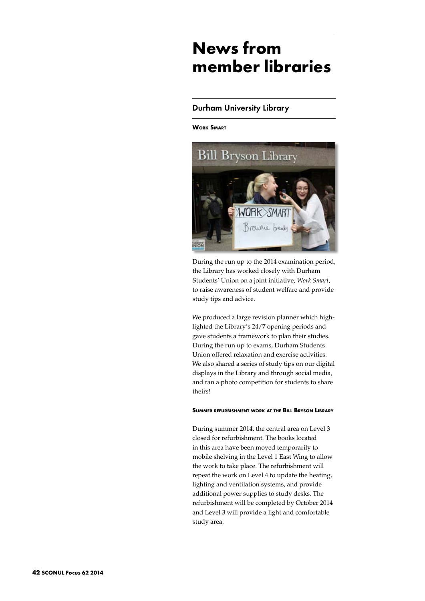# **News from member libraries**

# Durham University Library

**Work Smart**



During the run up to the 2014 examination period, the Library has worked closely with Durham Students' Union on a joint initiative, *Work Smart*, to raise awareness of student welfare and provide study tips and advice.

We produced a large revision planner which highlighted the Library's 24/7 opening periods and gave students a framework to plan their studies. During the run up to exams, Durham Students Union offered relaxation and exercise activities. We also shared a series of study tips on our digital displays in the Library and through social media, and ran a photo competition for students to share theirs!

#### **Summer refurbishment work at the Bill Bryson Library**

During summer 2014, the central area on Level 3 closed for refurbishment. The books located in this area have been moved temporarily to mobile shelving in the Level 1 East Wing to allow the work to take place. The refurbishment will repeat the work on Level 4 to update the heating, lighting and ventilation systems, and provide additional power supplies to study desks. The refurbishment will be completed by October 2014 and Level 3 will provide a light and comfortable study area.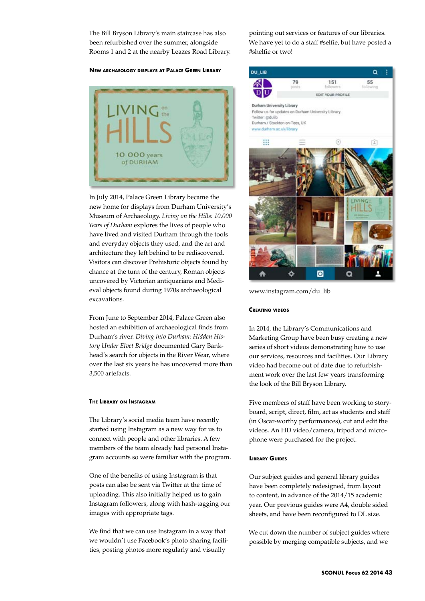The Bill Bryson Library's main staircase has also been refurbished over the summer, alongside Rooms 1 and 2 at the nearby Leazes Road Library.

#### **New archaeology displays at Palace Green Library**



In July 2014, Palace Green Library became the new home for displays from Durham University's Museum of Archaeology. *Living on the Hills: 10,000 Years of Durham* explores the lives of people who have lived and visited Durham through the tools and everyday objects they used, and the art and architecture they left behind to be rediscovered. Visitors can discover Prehistoric objects found by chance at the turn of the century, Roman objects uncovered by Victorian antiquarians and Medieval objects found during 1970s archaeological excavations.

From June to September 2014, Palace Green also hosted an exhibition of archaeological finds from Durham's river. *Diving into Durham: Hidden History Under Elvet Bridge* documented Gary Bankhead's search for objects in the River Wear, where over the last six years he has uncovered more than 3,500 artefacts.

### **The Library on Instagram**

The Library's social media team have recently started using Instagram as a new way for us to connect with people and other libraries. A few members of the team already had personal Instagram accounts so were familiar with the program.

One of the benefits of using Instagram is that posts can also be sent via Twitter at the time of uploading. This also initially helped us to gain Instagram followers, along with hash-tagging our images with appropriate tags.

We find that we can use Instagram in a way that we wouldn't use Facebook's photo sharing facilities, posting photos more regularly and visually

pointing out services or features of our libraries. We have yet to do a staff #selfie, but have posted a #shelfie or two!



www.instagram.com/du\_lib

#### **Creating videos**

In 2014, the Library's Communications and Marketing Group have been busy creating a new series of short videos demonstrating how to use our services, resources and facilities. Our Library video had become out of date due to refurbishment work over the last few years transforming the look of the Bill Bryson Library.

Five members of staff have been working to storyboard, script, direct, film, act as students and staff (in Oscar-worthy performances), cut and edit the videos. An HD video/camera, tripod and microphone were purchased for the project.

#### **Library Guides**

Our subject guides and general library guides have been completely redesigned, from layout to content, in advance of the 2014/15 academic year. Our previous guides were A4, double sided sheets, and have been reconfigured to DL size.

We cut down the number of subject guides where possible by merging compatible subjects, and we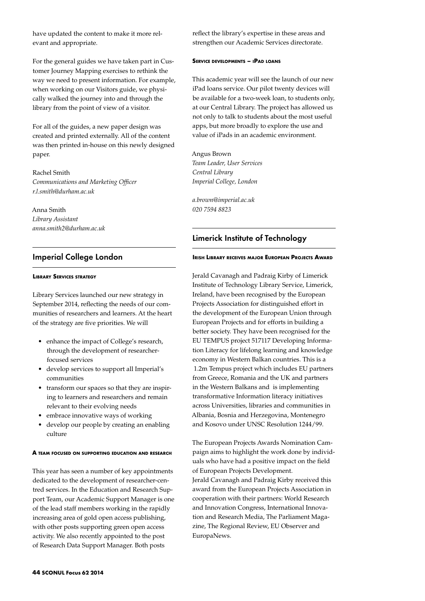have updated the content to make it more relevant and appropriate.

For the general guides we have taken part in Customer Journey Mapping exercises to rethink the way we need to present information. For example, when working on our Visitors guide, we physically walked the journey into and through the library from the point of view of a visitor.

For all of the guides, a new paper design was created and printed externally. All of the content was then printed in-house on this newly designed paper.

Rachel Smith *Communications and Marketing Officer r.l.smith@durham.ac.uk*

Anna Smith *Library Assistant anna.smith2@durham.ac.uk*

# Imperial College London

## **Library Services strategy**

Library Services launched our new strategy in September 2014, reflecting the needs of our communities of researchers and learners. At the heart of the strategy are five priorities. We will

- enhance the impact of College's research, through the development of researcherfocused services
- • develop services to support all Imperial's communities
- • transform our spaces so that they are inspiring to learners and researchers and remain relevant to their evolving needs
- embrace innovative ways of working
- develop our people by creating an enabling culture

#### **A team focused on supporting education and research**

This year has seen a number of key appointments dedicated to the development of researcher-centred services. In the Education and Research Support Team, our Academic Support Manager is one of the lead staff members working in the rapidly increasing area of gold open access publishing, with other posts supporting green open access activity. We also recently appointed to the post of Research Data Support Manager. Both posts

reflect the library's expertise in these areas and strengthen our Academic Services directorate.

## **Service developments – iPad loans**

This academic year will see the launch of our new iPad loans service. Our pilot twenty devices will be available for a two-week loan, to students only, at our Central Library. The project has allowed us not only to talk to students about the most useful apps, but more broadly to explore the use and value of iPads in an academic environment.

Angus Brown *Team Leader, User Services Central Library Imperial College, London*

*a.brown@imperial.ac.uk 020 7594 8823*

# Limerick Institute of Technology

## **Irish Library receives major European Projects Award**

Jerald Cavanagh and Padraig Kirby of Limerick Institute of Technology Library Service, Limerick, Ireland, have been recognised by the European Projects Association for distinguished effort in the development of the European Union through European Projects and for efforts in building a better society. They have been recognised for the EU TEMPUS project 517117 Developing Information Literacy for lifelong learning and knowledge economy in Western Balkan countries. This is a €1.2m Tempus project which includes EU partners from Greece, Romania and the UK and partners in the Western Balkans and is implementing transformative Information literacy initiatives across Universities, libraries and communities in Albania, Bosnia and Herzegovina, Montenegro and Kosovo under UNSC Resolution 1244/99.

The European Projects Awards Nomination Campaign aims to highlight the work done by individuals who have had a positive impact on the field of European Projects Development. Jerald Cavanagh and Padraig Kirby received this award from the European Projects Association in cooperation with their partners: World Research and Innovation Congress, International Innovation and Research Media, The Parliament Magazine, The Regional Review, EU Observer and EuropaNews.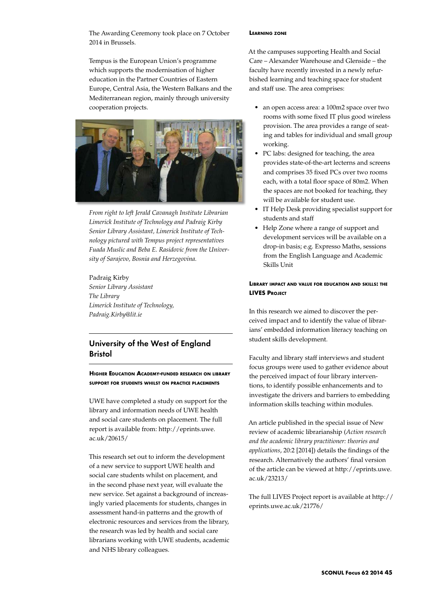The Awarding Ceremony took place on 7 October 2014 in Brussels.

Tempus is the European Union's programme which supports the modernisation of higher education in the Partner Countries of Eastern Europe, Central Asia, the Western Balkans and the Mediterranean region, mainly through university cooperation projects.



*From right to left Jerald Cavanagh Institute Librarian Limerick Institute of Technology and Padraig Kirby Senior Library Assistant, Limerick Institute of Technology pictured with Tempus project representatives Fuada Muslic and Beba E. Rasidovic from the University of Sarajevo, Bosnia and Herzegovina.*

Padraig Kirby *Senior Library Assistant The Library Limerick Institute of Technology, Padraig.Kirby@lit.ie*

# University of the West of England Bristol

**Higher Education Academy-funded research on library support for students whilst on practice placements**

UWE have completed a study on support for the library and information needs of UWE health and social care students on placement. The full report is available from: http://eprints.uwe. ac.uk/20615/

This research set out to inform the development of a new service to support UWE health and social care students whilst on placement, and in the second phase next year, will evaluate the new service. Set against a background of increasingly varied placements for students, changes in assessment hand-in patterns and the growth of electronic resources and services from the library, the research was led by health and social care librarians working with UWE students, academic and NHS library colleagues.

#### **Learning zone**

At the campuses supporting Health and Social Care – Alexander Warehouse and Glenside – the faculty have recently invested in a newly refurbished learning and teaching space for student and staff use. The area comprises:

- an open access area: a 100m2 space over two rooms with some fixed IT plus good wireless provision. The area provides a range of seating and tables for individual and small group working.
- PC labs: designed for teaching, the area provides state-of-the-art lecterns and screens and comprises 35 fixed PCs over two rooms each, with a total floor space of 80m2. When the spaces are not booked for teaching, they will be available for student use.
- • IT Help Desk providing specialist support for students and staff
- Help Zone where a range of support and development services will be available on a drop-in basis; e.g. Expresso Maths, sessions from the English Language and Academic Skills Unit

## **Library impact and value for education and skills: the LIVES Project**

In this research we aimed to discover the perceived impact and to identify the value of librarians' embedded information literacy teaching on student skills development.

Faculty and library staff interviews and student focus groups were used to gather evidence about the perceived impact of four library interventions, to identify possible enhancements and to investigate the drivers and barriers to embedding information skills teaching within modules.

An article published in the special issue of New review of academic librarianship (*Action research and the academic library practitioner: theories and applications*, 20:2 [2014]) details the findings of the research. Alternatively the authors' final version of the article can be viewed at http://eprints.uwe. ac.uk/23213/

The full LIVES Project report is available at http:// eprints.uwe.ac.uk/21776/